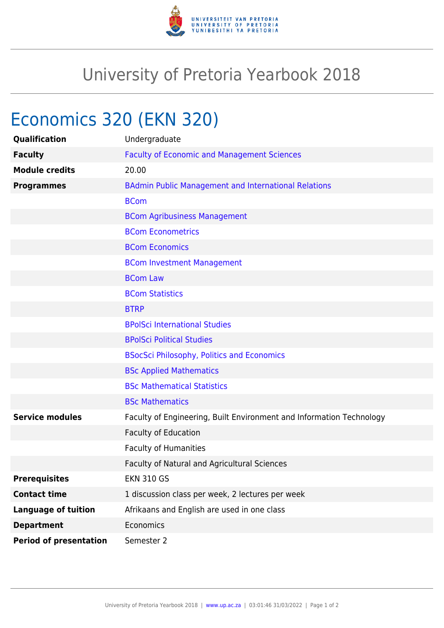

## University of Pretoria Yearbook 2018

## Economics 320 (EKN 320)

| Qualification                 | Undergraduate                                                        |
|-------------------------------|----------------------------------------------------------------------|
| <b>Faculty</b>                | <b>Faculty of Economic and Management Sciences</b>                   |
| <b>Module credits</b>         | 20.00                                                                |
| <b>Programmes</b>             | <b>BAdmin Public Management and International Relations</b>          |
|                               | <b>BCom</b>                                                          |
|                               | <b>BCom Agribusiness Management</b>                                  |
|                               | <b>BCom Econometrics</b>                                             |
|                               | <b>BCom Economics</b>                                                |
|                               | <b>BCom Investment Management</b>                                    |
|                               | <b>BCom Law</b>                                                      |
|                               | <b>BCom Statistics</b>                                               |
|                               | <b>BTRP</b>                                                          |
|                               | <b>BPolSci International Studies</b>                                 |
|                               | <b>BPolSci Political Studies</b>                                     |
|                               | <b>BSocSci Philosophy, Politics and Economics</b>                    |
|                               | <b>BSc Applied Mathematics</b>                                       |
|                               | <b>BSc Mathematical Statistics</b>                                   |
|                               | <b>BSc Mathematics</b>                                               |
| <b>Service modules</b>        | Faculty of Engineering, Built Environment and Information Technology |
|                               | Faculty of Education                                                 |
|                               | <b>Faculty of Humanities</b>                                         |
|                               | Faculty of Natural and Agricultural Sciences                         |
| <b>Prerequisites</b>          | <b>EKN 310 GS</b>                                                    |
| <b>Contact time</b>           | 1 discussion class per week, 2 lectures per week                     |
| <b>Language of tuition</b>    | Afrikaans and English are used in one class                          |
| <b>Department</b>             | Economics                                                            |
| <b>Period of presentation</b> | Semester 2                                                           |